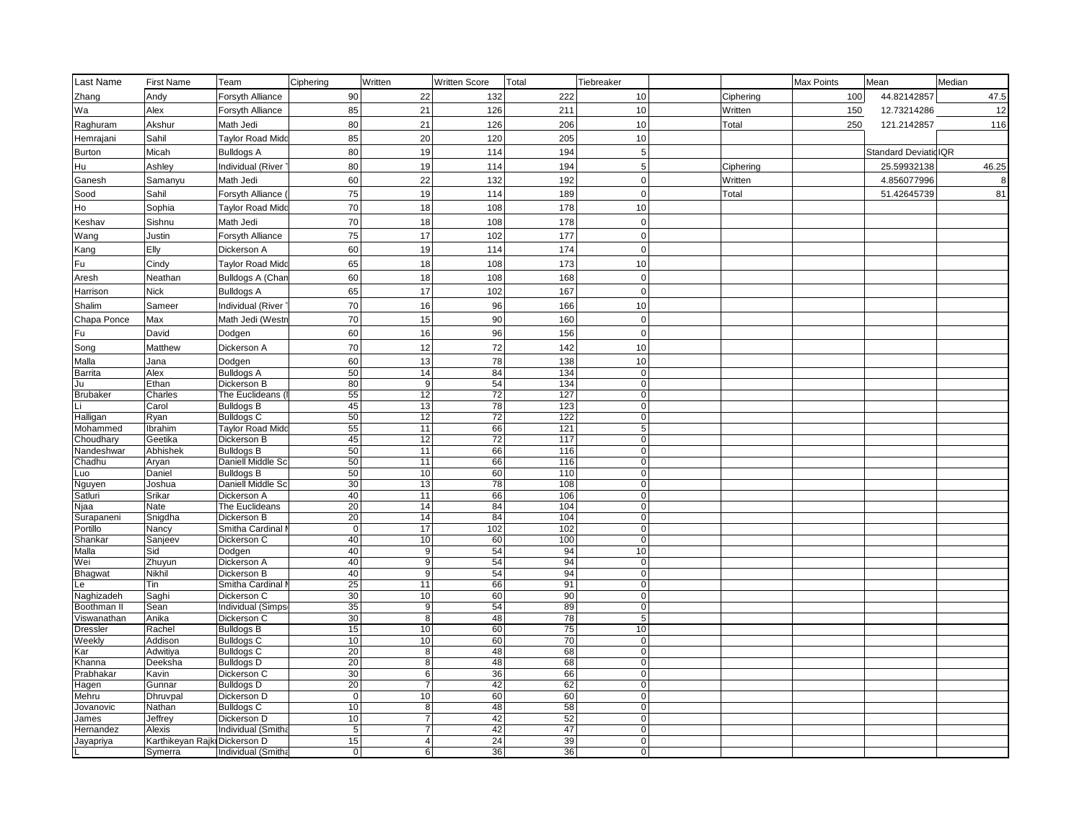| Last Name                 | <b>First Name</b>            | Team                                    | Ciphering         | Written              | <b>Written Score</b>  | Total           | Tiebreaker                    |           | Max Points | Mean                  | Median         |
|---------------------------|------------------------------|-----------------------------------------|-------------------|----------------------|-----------------------|-----------------|-------------------------------|-----------|------------|-----------------------|----------------|
| Zhang                     | Andy                         | Forsyth Alliance                        | $90\,$            | 22                   | 132                   | 222             | 10                            | Ciphering | 100        | 44.82142857           | 47.5           |
| Wa                        | Alex                         | Forsyth Alliance                        | 85                | 21                   | 126                   | 211             | 10                            | Written   | 150        | 12.73214286           | 12             |
| Raghuram                  | Akshur                       | Math Jedi                               | 80                | 21                   | 126                   | 206             | 10                            | Total     | 250        | 121.2142857           | 116            |
| <b>Hemrajani</b>          | Sahil                        | <b>Taylor Road Midd</b>                 | 85                | 20                   | 120                   | 205             | 10                            |           |            |                       |                |
| <b>Burton</b>             | Micah                        | <b>Bulldogs A</b>                       | 80                | 19                   | 114                   | 194             | 5                             |           |            | Standard Deviatic IQR |                |
| Нu                        | Ashley                       | Individual (River                       | 80                | 19                   | 114                   | 194             | 5                             | Ciphering |            | 25.59932138           | 46.25          |
|                           |                              |                                         | 60                | 22                   | 132                   | 192             | $\mathbf 0$                   |           |            | 4.856077996           | 8 <sup>1</sup> |
| Ganesh                    | Samanyu                      | Math Jedi                               |                   |                      |                       |                 | $\mathbf 0$                   | Written   |            |                       |                |
| Sood                      | Sahil                        | Forsyth Alliance                        | 75                | 19                   | 114                   | 189             |                               | Total     |            | 51.42645739           | 81             |
| Чo                        | Sophia                       | <b>Taylor Road Midd</b>                 | 70                | 18                   | 108                   | 178             | 10                            |           |            |                       |                |
| <b>Keshav</b>             | Sishnu                       | Math Jedi                               | 70                | 18                   | 108                   | 178             | $\mathbf 0$                   |           |            |                       |                |
| Nang                      | Justin                       | Forsyth Alliance                        | 75                | 17                   | 102                   | 177             | $\mathbf 0$                   |           |            |                       |                |
| ≺ang                      | Elly                         | Dickerson A                             | 60                | 19                   | 114                   | 174             | $\mathbf 0$                   |           |            |                       |                |
| Fu                        | Cindy                        | <b>Taylor Road Midd</b>                 | 65                | 18                   | 108                   | 173             | 10                            |           |            |                       |                |
| Aresh                     | Neathan                      | Bulldogs A (Chan                        | 60                | 18                   | 108                   | 168             | $\mathbf 0$                   |           |            |                       |                |
| Harrison                  | <b>Nick</b>                  | <b>Bulldogs A</b>                       | 65                | 17                   | 102                   | 167             | $\mathbf 0$                   |           |            |                       |                |
| Shalim                    | Sameer                       | <b>Individual (River</b>                | 70                | 16                   | 96                    | 166             | 10                            |           |            |                       |                |
| Chapa Ponce               | Max                          | Math Jedi (Westn                        | 70                | 15                   | 90                    | 160             | $\mathbf 0$                   |           |            |                       |                |
| Fu                        | David                        | Dodgen                                  | 60                | 16                   | 96                    | 156             | $\mathbf 0$                   |           |            |                       |                |
|                           | Matthew                      | Dickerson A                             | 70                | 12                   | 72                    | 142             | 10                            |           |            |                       |                |
| Song                      |                              |                                         |                   |                      |                       |                 |                               |           |            |                       |                |
| Malla<br>Barrita          | Jana<br>Alex                 | Dodgen<br><b>Bulldogs A</b>             | 60<br>50          | 13<br>14             | 78<br>84              | 138<br>134      | 10<br>$\overline{0}$          |           |            |                       |                |
| Ju                        | Ethan                        | Dickerson B                             | 80                | 9                    | 54                    | 134             | $\mathsf 0$                   |           |            |                       |                |
| <b>Brubaker</b>           | Charles                      | The Euclideans (I                       | 55                | 12                   | $\overline{72}$       | 127             | $\mathbf 0$                   |           |            |                       |                |
|                           | Carol                        | <b>Bulldogs B</b>                       | 45                | 13                   | $\overline{78}$       | 123             | $\overline{0}$                |           |            |                       |                |
| Halligan                  | Ryan                         | <b>Bulldogs C</b>                       | 50                | 12                   | $\overline{72}$       | 122             | $\overline{0}$                |           |            |                       |                |
| Mohammed                  | Ibrahim                      | <b>Taylor Road Midd</b>                 | 55                | 11                   | 66                    | 121             | $\overline{5}$                |           |            |                       |                |
| Choudhary<br>Nandeshwar   | Geetika<br>Abhishek          | Dickerson B<br><b>Bulldogs B</b>        | 45<br>50          | 12<br>11             | $\overline{72}$<br>66 | 117<br>116      | $\mathsf 0$<br>o              |           |            |                       |                |
| Chadhu                    | Aryan                        | Daniell Middle Sc                       | 50                | 11                   | 66                    | 116             | $\overline{0}$                |           |            |                       |                |
| _uo                       | Daniel                       | <b>Bulldogs B</b>                       | 50                | 10                   | 60                    | 110             | $\overline{0}$                |           |            |                       |                |
| <b>Nguyen</b>             | Joshua                       | Daniell Middle Sc                       | 30                | 13                   | $\overline{78}$       | 108             | $\mathbf 0$                   |           |            |                       |                |
| Satluri                   | Srikar                       | Dickerson A                             | 40                | 11                   | 66                    | 106             | $\mathsf 0$                   |           |            |                       |                |
| Njaa                      | Nate                         | The Euclideans                          | $\overline{20}$   | 14                   | 84                    | 104             | $\overline{0}$                |           |            |                       |                |
| Surapaneni<br>Portillo    | Snigdha<br>Nancy             | Dickerson B<br>Smitha Cardinal          | 20<br> 0          | 14<br>17             | 84<br>102             | 104<br>102      | $\overline{0}$<br>$\mathbf 0$ |           |            |                       |                |
| Shankar                   | Sanjeev                      | Dickerson C                             | 40                | 10                   | 60                    | 100             | $\mathbf 0$                   |           |            |                       |                |
| Malla                     | Sid                          | Dodgen                                  | 40                | $\overline{9}$       | 54                    | 94              | 10                            |           |            |                       |                |
| Wei                       | Zhuyun                       | Dickerson A                             | 40                | $\overline{9}$       | 54                    | 94              | $\overline{0}$                |           |            |                       |                |
| <b>Bhagwat</b>            | Nikhil                       | Dickerson B                             | 40                | g                    | 54                    | 94              | $\overline{0}$                |           |            |                       |                |
| -e                        | Tin                          | Smitha Cardinal N                       | 25                | 11                   | 66                    | 91              | $\mathsf 0$                   |           |            |                       |                |
| Naghizadeh<br>Boothman II | Saghi<br>Sean                | Dickerson C<br><b>Individual (Simps</b> | 30<br>35          | 10<br>$\overline{9}$ | 60<br>54              | 90<br>89        | $\mathsf 0$<br>$\overline{0}$ |           |            |                       |                |
| Viswanathan               | Anika                        | Dickerson C                             | 30                | $\overline{8}$       | 48                    | 78              | $\overline{5}$                |           |            |                       |                |
| Dressler                  | Rachel                       | <b>Bulldogs B</b>                       | 15                | 10                   | 60                    | 75              | 10                            |           |            |                       |                |
| Neekly                    | Addison                      | <b>Bulldogs C</b>                       | 10                | 10                   | 60                    | $\overline{70}$ | $\mathbf 0$                   |           |            |                       |                |
| Kar                       | Adwitiya                     | <b>Bulldogs C</b>                       | $\overline{20}$   | 8                    | 48                    | 68              | $\overline{0}$                |           |            |                       |                |
| Khanna                    | Deeksha                      | <b>Bulldogs D</b>                       | $\overline{20}$   | $\infty$             | 48                    | 68              | $\overline{0}$                |           |            |                       |                |
| Prabhakar                 | Kavin                        | Dickerson C                             | 30                | $6 \mid$             | 36                    | 66              | $\mathbf 0$                   |           |            |                       |                |
| Hagen<br>Mehru            | Gunnar<br>Dhruvpal           | <b>Bulldogs D</b><br>Dickerson D        | 20<br>$\mathsf 0$ | $\overline{7}$<br>10 | 42<br>60              | 62<br>60        | $\mathbf 0$<br>$\mathsf 0$    |           |            |                       |                |
| Jovanovic                 | Nathan                       | <b>Bulldogs C</b>                       | 10                | 8                    | 48                    | 58              | $\mathbf 0$                   |           |            |                       |                |
| James                     | Jeffrey                      | Dickerson D                             | 10                | $\overline{7}$       | 42                    | 52              | $\mathbf 0$                   |           |            |                       |                |
| Hernandez                 | Alexis                       | Individual (Smitha                      | $5\overline{)}$   | $\overline{7}$       | 42                    | 47              | $\mathbf 0$                   |           |            |                       |                |
| Jayapriya                 | Karthikeyan Rajk Dickerson D |                                         | 15                | $\overline{4}$       | $\overline{24}$       | $\overline{39}$ | $\mathbf 0$                   |           |            |                       |                |
|                           | Symerra                      | Individual (Smitha                      | $\overline{0}$    | 6                    | 36                    | 36              | $\overline{0}$                |           |            |                       |                |